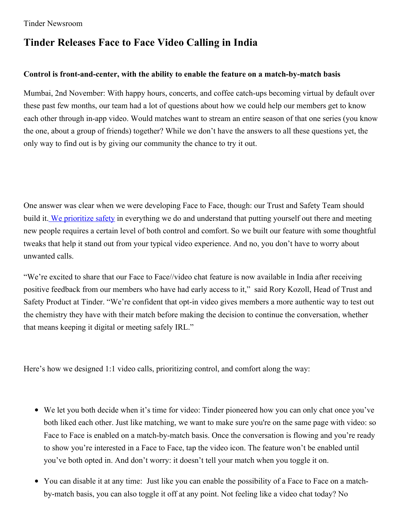## **Tinder Releases Face to Face Video Calling in India**

## **Control is front-and-center, with the ability to enable the feature on a match-by-match basis**

Mumbai, 2nd November: With happy hours, concerts, and coffee catch-ups becoming virtual by default over these past few months, our team had a lot of questions about how we could help our members get to know each other through in-app video. Would matches want to stream an entire season of that one series (you know the one, about a group of friends) together? While we don't have the answers to all these questions yet, the only way to find out is by giving our community the chance to try it out.

One answer was clear when we were developing Face to Face, though: our Trust and Safety Team should build it. We [prioritize](https://www.tinderpressroom.com/2020-01-23-Tinder-Introduces-Safety-Focused-Updates) safety in everything we do and understand that putting yourself out there and meeting new people requires a certain level of both control and comfort. So we built our feature with some thoughtful tweaks that help it stand out from your typical video experience. And no, you don't have to worry about unwanted calls.

"We're excited to share that our Face to Face//video chat feature is now available in India after receiving positive feedback from our members who have had early access to it," said Rory Kozoll, Head of Trust and Safety Product at Tinder. "We're confident that opt-in video gives members a more authentic way to test out the chemistry they have with their match before making the decision to continue the conversation, whether that means keeping it digital or meeting safely IRL."

Here's how we designed 1:1 video calls, prioritizing control, and comfort along the way:

- We let you both decide when it's time for video: Tinder pioneered how you can only chat once you've both liked each other. Just like matching, we want to make sure you're on the same page with video: so Face to Face is enabled on a match-by-match basis. Once the conversation is flowing and you're ready to show you're interested in a Face to Face, tap the video icon. The feature won't be enabled until you've both opted in. And don't worry: it doesn't tell your match when you toggle it on.
- You can disable it at any time: Just like you can enable the possibility of a Face to Face on a matchby-match basis, you can also toggle it off at any point. Not feeling like a video chat today? No